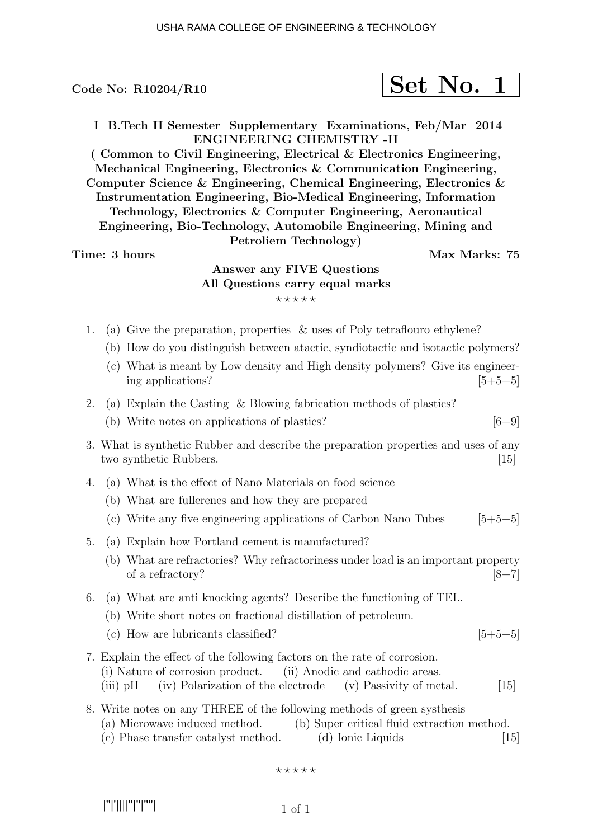$$
\fbox{Set No. 1}
$$

I B.Tech II Semester Supplementary Examinations, Feb/Mar 2014 ENGINEERING CHEMISTRY -II

( Common to Civil Engineering, Electrical & Electronics Engineering, Mechanical Engineering, Electronics & Communication Engineering, Computer Science & Engineering, Chemical Engineering, Electronics & Instrumentation Engineering, Bio-Medical Engineering, Information Technology, Electronics & Computer Engineering, Aeronautical Engineering, Bio-Technology, Automobile Engineering, Mining and Petroliem Technology)

#### Time: 3 hours and the set of the Max Marks: 75

# Answer any FIVE Questions All Questions carry equal marks  $***$ \*\*

- 1. (a) Give the preparation, properties & uses of Poly tetraflouro ethylene?
	- (b) How do you distinguish between atactic, syndiotactic and isotactic polymers?
	- (c) What is meant by Low density and High density polymers? Give its engineering applications?  $[5+5+5]$
- 2. (a) Explain the Casting & Blowing fabrication methods of plastics?
	- (b) Write notes on applications of plastics?  $[6+9]$
- 3. What is synthetic Rubber and describe the preparation properties and uses of any two synthetic Rubbers. [15]
- 4. (a) What is the effect of Nano Materials on food science
	- (b) What are fullerenes and how they are prepared
	- (c) Write any five engineering applications of Carbon Nano Tubes  $[5+5+5]$
- 5. (a) Explain how Portland cement is manufactured?
	- (b) What are refractories? Why refractoriness under load is an important property of a refractory?  $[8+7]$
- 6. (a) What are anti knocking agents? Describe the functioning of TEL.
	- (b) Write short notes on fractional distillation of petroleum.
	- (c) How are lubricants classified?  $[5+5+5]$
- 7. Explain the effect of the following factors on the rate of corrosion. (i) Nature of corrosion product. (ii) Anodic and cathodic areas. (iii) pH (iv) Polarization of the electrode (v) Passivity of metal.  $[15]$
- 8. Write notes on any THREE of the following methods of green systhesis (a) Microwave induced method. (b) Super critical fluid extraction method.
	- (c) Phase transfer catalyst method. (d) Ionic Liquids [15]

 $***$ \*\*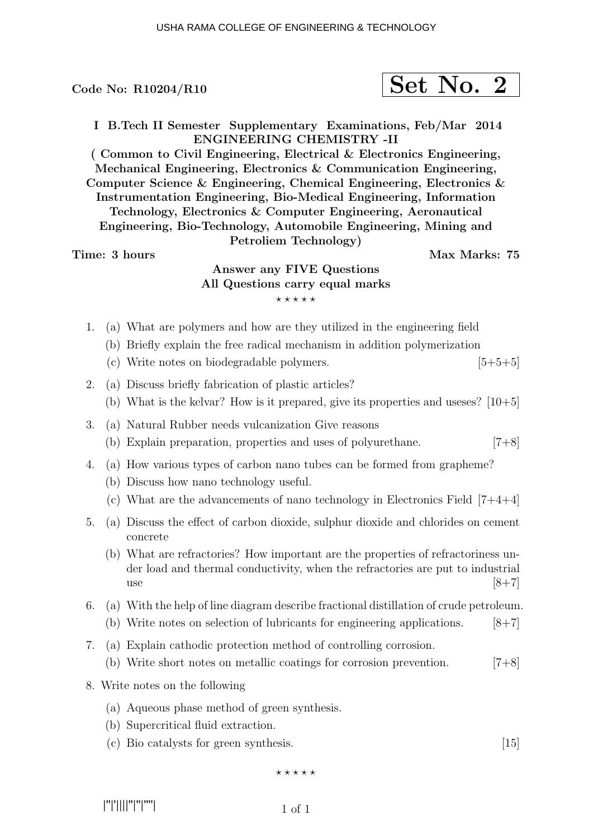$$
\fbox{Set No. 2}
$$

I B.Tech II Semester Supplementary Examinations, Feb/Mar 2014 ENGINEERING CHEMISTRY -II

( Common to Civil Engineering, Electrical & Electronics Engineering, Mechanical Engineering, Electronics & Communication Engineering, Computer Science & Engineering, Chemical Engineering, Electronics & Instrumentation Engineering, Bio-Medical Engineering, Information Technology, Electronics & Computer Engineering, Aeronautical Engineering, Bio-Technology, Automobile Engineering, Mining and Petroliem Technology)

#### Time: 3 hours and the set of the Max Marks: 75

# Answer any FIVE Questions All Questions carry equal marks  $***$ \*\*

- 1. (a) What are polymers and how are they utilized in the engineering field
	- (b) Briefly explain the free radical mechanism in addition polymerization
	- (c) Write notes on biodegradable polymers.  $[5+5+5]$
- 2. (a) Discuss briefly fabrication of plastic articles?
	- (b) What is the kelvar? How is it prepared, give its properties and useses?  $[10+5]$
- 3. (a) Natural Rubber needs vulcanization Give reasons
	- (b) Explain preparation, properties and uses of polyurethane. [7+8]
- 4. (a) How various types of carbon nano tubes can be formed from grapheme?
	- (b) Discuss how nano technology useful.
	- (c) What are the advancements of nano technology in Electronics Field  $[7+4+4]$
- 5. (a) Discuss the effect of carbon dioxide, sulphur dioxide and chlorides on cement concrete
	- (b) What are refractories? How important are the properties of refractoriness under load and thermal conductivity, when the refractories are put to industrial use  $[8+7]$
- 6. (a) With the help of line diagram describe fractional distillation of crude petroleum.
	- (b) Write notes on selection of lubricants for engineering applications.  $[8+7]$
- 7. (a) Explain cathodic protection method of controlling corrosion.
	- (b) Write short notes on metallic coatings for corrosion prevention. [7+8]
- 8. Write notes on the following
	- (a) Aqueous phase method of green synthesis.
	- (b) Supercritical fluid extraction.
	- (c) Bio catalysts for green synthesis. [15]

 $***$ \*\*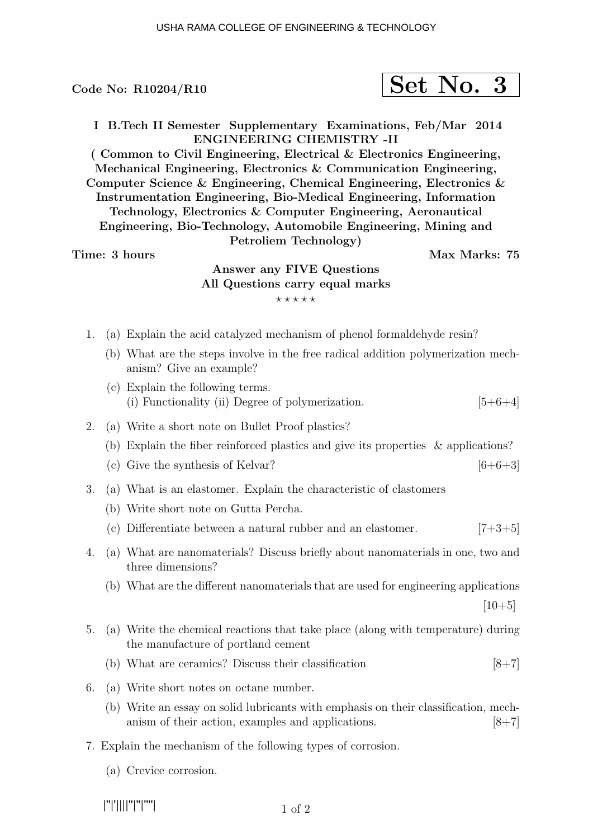$$
\fbox{Set No. 3}
$$

I B.Tech II Semester Supplementary Examinations, Feb/Mar 2014 ENGINEERING CHEMISTRY -II

( Common to Civil Engineering, Electrical & Electronics Engineering, Mechanical Engineering, Electronics & Communication Engineering, Computer Science & Engineering, Chemical Engineering, Electronics & Instrumentation Engineering, Bio-Medical Engineering, Information Technology, Electronics & Computer Engineering, Aeronautical Engineering, Bio-Technology, Automobile Engineering, Mining and Petroliem Technology)

Time: 3 hours Max Marks: 75

# Answer any FIVE Questions All Questions carry equal marks  $***$ \*\*

- 1. (a) Explain the acid catalyzed mechanism of phenol formaldehyde resin?
	- (b) What are the steps involve in the free radical addition polymerization mechanism? Give an example?
	- (c) Explain the following terms. (i) Functionality (ii) Degree of polymerization.  $[5+6+4]$
- 2. (a) Write a short note on Bullet Proof plastics?
	- (b) Explain the fiber reinforced plastics and give its properties & applications?
	- (c) Give the synthesis of Kelvar?  $[6+6+3]$
- 3. (a) What is an elastomer. Explain the characteristic of clastomers
	- (b) Write short note on Gutta Percha.
	- (c) Differentiate between a natural rubber and an elastomer.  $[7+3+5]$
- 4. (a) What are nanomaterials? Discuss briefly about nanomaterials in one, two and three dimensions?
	- (b) What are the different nanomaterials that are used for engineering applications

 $[10+5]$ 

- 5. (a) Write the chemical reactions that take place (along with temperature) during the manufacture of portland cement
	- (b) What are ceramics? Discuss their classification  $[8+7]$
- 6. (a) Write short notes on octane number.
	- (b) Write an essay on solid lubricants with emphasis on their classification, mechanism of their action, examples and applications. [8+7]
- 7. Explain the mechanism of the following types of corrosion.
	- (a) Crevice corrosion.

|''|'||||''|''|''''|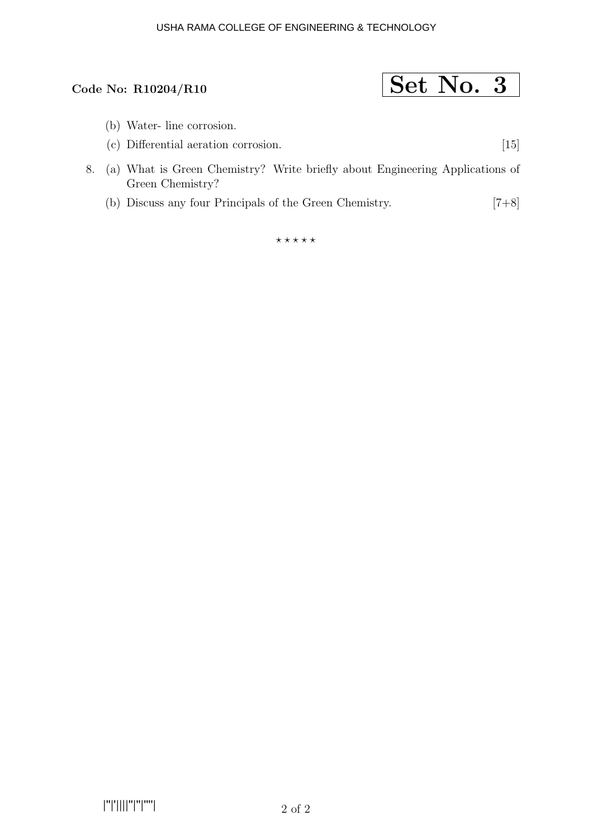#### USHA RAMA COLLEGE OF ENGINEERING & TECHNOLOGY

# Code No: R10204/R10  $\boxed{\text{Set No. 3}}$

- (b) Water- line corrosion.
- (c) Differential aeration corrosion. [15]
- 8. (a) What is Green Chemistry? Write briefly about Engineering Applications of Green Chemistry?
	- (b) Discuss any four Principals of the Green Chemistry. [7+8]

 $***$ \*\*